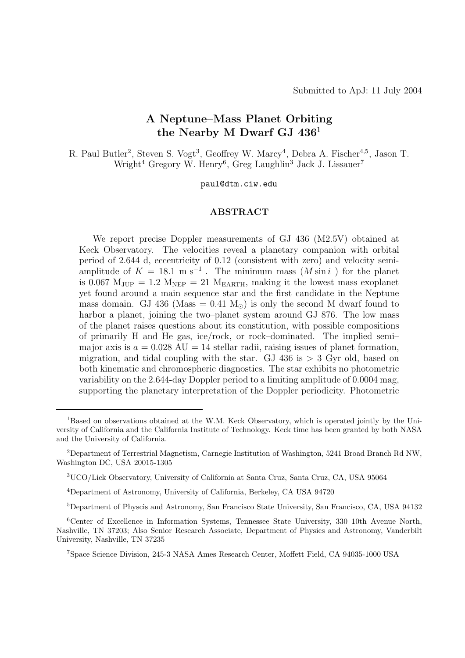# **A Neptune–Mass Planet Orbiting the Nearby M Dwarf GJ 436**<sup>1</sup>

R. Paul Butler<sup>2</sup>, Steven S. Vogt<sup>3</sup>, Geoffrey W. Marcy<sup>4</sup>, Debra A. Fischer<sup>4,5</sup>, Jason T. Wright<sup>4</sup> Gregory W. Henry<sup>6</sup>, Greg Laughlin<sup>3</sup> Jack J. Lissauer<sup>7</sup>

paul@dtm.ciw.edu

# **ABSTRACT**

We report precise Doppler measurements of GJ 436 (M2.5V) obtained at Keck Observatory. The velocities reveal a planetary companion with orbital period of 2.644 d, eccentricity of 0.12 (consistent with zero) and velocity semiamplitude of  $K = 18.1 \text{ m s}^{-1}$ . The minimum mass  $(M \sin i)$  for the planet is 0.067  $M_{JUP} = 1.2 M_{NEP} = 21 M_{EARTH}$ , making it the lowest mass exoplanet yet found around a main sequence star and the first candidate in the Neptune mass domain. GJ 436 (Mass = 0.41  $M_{\odot}$ ) is only the second M dwarf found to harbor a planet, joining the two–planet system around GJ 876. The low mass of the planet raises questions about its constitution, with possible compositions of primarily H and He gas, ice/rock, or rock–dominated. The implied semi– major axis is  $a = 0.028 \text{ AU} = 14$  stellar radii, raising issues of planet formation, migration, and tidal coupling with the star. GJ 436 is  $> 3$  Gyr old, based on both kinematic and chromospheric diagnostics. The star exhibits no photometric variability on the 2.644-day Doppler period to a limiting amplitude of 0.0004 mag, supporting the planetary interpretation of the Doppler periodicity. Photometric

<sup>5</sup>Department of Physcis and Astronomy, San Francisco State University, San Francisco, CA, USA 94132

<sup>7</sup>Space Science Division, 245-3 NASA Ames Research Center, Moffett Field, CA 94035-1000 USA

<sup>1</sup>Based on observations obtained at the W.M. Keck Observatory, which is operated jointly by the University of California and the California Institute of Technology. Keck time has been granted by both NASA and the University of California.

<sup>2</sup>Department of Terrestrial Magnetism, Carnegie Institution of Washington, 5241 Broad Branch Rd NW, Washington DC, USA 20015-1305

<sup>3</sup>UCO/Lick Observatory, University of California at Santa Cruz, Santa Cruz, CA, USA 95064

<sup>4</sup>Department of Astronomy, University of California, Berkeley, CA USA 94720

<sup>6</sup>Center of Excellence in Information Systems, Tennessee State University, 330 10th Avenue North, Nashville, TN 37203; Also Senior Research Associate, Department of Physics and Astronomy, Vanderbilt University, Nashville, TN 37235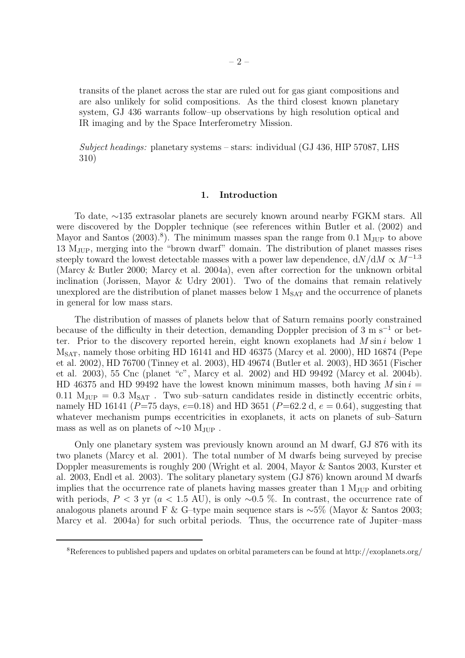transits of the planet across the star are ruled out for gas giant compositions and are also unlikely for solid compositions. As the third closest known planetary system, GJ 436 warrants follow–up observations by high resolution optical and IR imaging and by the Space Interferometry Mission.

*Subject headings:* planetary systems – stars: individual (GJ 436, HIP 57087, LHS 310)

# **1. Introduction**

To date, ∼135 extrasolar planets are securely known around nearby FGKM stars. All were discovered by the Doppler technique (see references within Butler et al. (2002) and Mayor and Santos  $(2003)^8$ . The minimum masses span the range from 0.1 M<sub>JUP</sub> to above 13 MJUP, merging into the "brown dwarf" domain. The distribution of planet masses rises steeply toward the lowest detectable masses with a power law dependence,  $dN/dM \propto M^{-1.3}$ (Marcy & Butler 2000; Marcy et al. 2004a), even after correction for the unknown orbital inclination (Jorissen, Mayor & Udry 2001). Two of the domains that remain relatively unexplored are the distribution of planet masses below  $1 \text{ M}_{\text{SAT}}$  and the occurrence of planets in general for low mass stars.

The distribution of masses of planets below that of Saturn remains poorly constrained because of the difficulty in their detection, demanding Doppler precision of 3 m s<sup> $-1$ </sup> or better. Prior to the discovery reported herein, eight known exoplanets had  $M \sin i$  below 1  $M<sub>SAT</sub>$ , namely those orbiting HD 16141 and HD 46375 (Marcy et al. 2000), HD 16874 (Pepe et al. 2002), HD 76700 (Tinney et al. 2003), HD 49674 (Butler et al. 2003), HD 3651 (Fischer et al. 2003), 55 Cnc (planet "c", Marcy et al. 2002) and HD 99492 (Marcy et al. 2004b). HD 46375 and HD 99492 have the lowest known minimum masses, both having  $M \sin i =$ 0.11  $M_{JUP} = 0.3 M_{SAT}$ . Two sub-saturn candidates reside in distinctly eccentric orbits, namely HD 16141 ( $P=75$  days,  $e=0.18$ ) and HD 3651 ( $P=62.2$  d,  $e=0.64$ ), suggesting that whatever mechanism pumps eccentricities in exoplanets, it acts on planets of sub-Saturn mass as well as on planets of  $\sim 10$  M<sub>JUP</sub>.

Only one planetary system was previously known around an M dwarf, GJ 876 with its two planets (Marcy et al. 2001). The total number of M dwarfs being surveyed by precise Doppler measurements is roughly 200 (Wright et al. 2004, Mayor & Santos 2003, Kurster et al. 2003, Endl et al. 2003). The solitary planetary system (GJ 876) known around M dwarfs implies that the occurrence rate of planets having masses greater than  $1 \text{ M}_{JUP}$  and orbiting with periods,  $P < 3$  yr (a < 1.5 AU), is only ~0.5 %. In contrast, the occurrence rate of analogous planets around F & G–type main sequence stars is ∼5% (Mayor & Santos 2003; Marcy et al. 2004a) for such orbital periods. Thus, the occurrence rate of Jupiter–mass

<sup>8</sup>References to published papers and updates on orbital parameters can be found at http://exoplanets.org/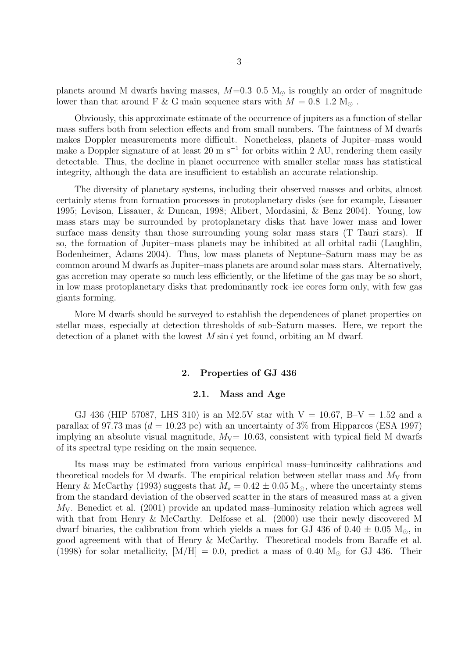planets around M dwarfs having masses,  $M=0.3-0.5$  M<sub> $\odot$ </sub> is roughly an order of magnitude lower than that around F & G main sequence stars with  $M=0.8\text{--}1.2~\text{M}_\odot$  .

Obviously, this approximate estimate of the occurrence of jupiters as a function of stellar mass suffers both from selection effects and from small numbers. The faintness of M dwarfs makes Doppler measurements more difficult. Nonetheless, planets of Jupiter–mass would make a Doppler signature of at least 20 m s<sup>-1</sup> for orbits within 2 AU, rendering them easily detectable. Thus, the decline in planet occurrence with smaller stellar mass has statistical integrity, although the data are insufficient to establish an accurate relationship.

The diversity of planetary systems, including their observed masses and orbits, almost certainly stems from formation processes in protoplanetary disks (see for example, Lissauer 1995; Levison, Lissauer, & Duncan, 1998; Alibert, Mordasini, & Benz 2004). Young, low mass stars may be surrounded by protoplanetary disks that have lower mass and lower surface mass density than those surrounding young solar mass stars (T Tauri stars). If so, the formation of Jupiter–mass planets may be inhibited at all orbital radii (Laughlin, Bodenheimer, Adams 2004). Thus, low mass planets of Neptune–Saturn mass may be as common around M dwarfs as Jupiter–mass planets are around solar mass stars. Alternatively, gas accretion may operate so much less efficiently, or the lifetime of the gas may be so short, in low mass protoplanetary disks that predominantly rock–ice cores form only, with few gas giants forming.

More M dwarfs should be surveyed to establish the dependences of planet properties on stellar mass, especially at detection thresholds of sub–Saturn masses. Here, we report the detection of a planet with the lowest  $M \sin i$  yet found, orbiting an M dwarf.

### **2. Properties of GJ 436**

### **2.1. Mass and Age**

GJ 436 (HIP 57087, LHS 310) is an M2.5V star with  $V = 10.67$ , B-V = 1.52 and a parallax of 97.73 mas ( $d = 10.23$  pc) with an uncertainty of 3% from Hipparcos (ESA 1997) implying an absolute visual magnitude,  $M_V= 10.63$ , consistent with typical field M dwarfs of its spectral type residing on the main sequence.

Its mass may be estimated from various empirical mass–luminosity calibrations and theoretical models for M dwarfs. The empirical relation between stellar mass and  $M_V$  from Henry & McCarthy (1993) suggests that  $M_{\star} = 0.42 \pm 0.05$  M<sub>o</sub>, where the uncertainty stems from the standard deviation of the observed scatter in the stars of measured mass at a given  $M_V$ . Benedict et al. (2001) provide an updated mass-luminosity relation which agrees well with that from Henry & McCarthy. Delfosse et al. (2000) use their newly discovered M dwarf binaries, the calibration from which yields a mass for GJ 436 of  $0.40 \pm 0.05$  M<sub>o</sub>, in good agreement with that of Henry & McCarthy. Theoretical models from Baraffe et al. (1998) for solar metallicity,  $[M/H] = 0.0$ , predict a mass of 0.40  $M_{\odot}$  for GJ 436. Their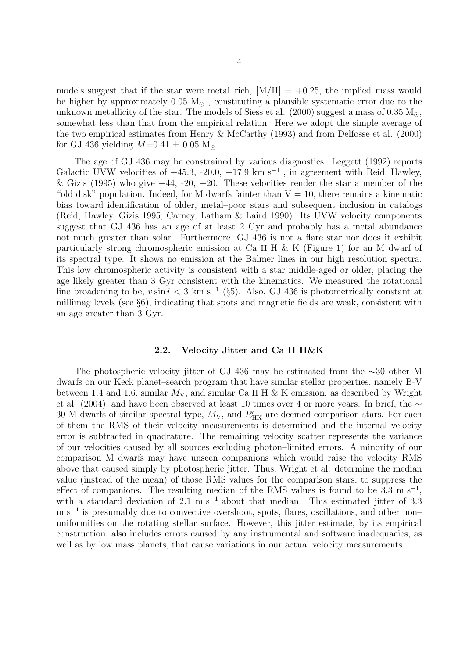models suggest that if the star were metal–rich,  $[M/H] = +0.25$ , the implied mass would be higher by approximately  $0.05 M_{\odot}$ , constituting a plausible systematic error due to the unknown metallicity of the star. The models of Siess et al. (2000) suggest a mass of 0.35  $M_{\odot}$ , somewhat less than that from the empirical relation. Here we adopt the simple average of the two empirical estimates from Henry & McCarthy (1993) and from Delfosse et al. (2000) for GJ 436 yielding  $M=0.41 \pm 0.05$  M<sub>o</sub>.

The age of GJ 436 may be constrained by various diagnostics. Leggett (1992) reports Galactic UVW velocities of  $+45.3, -20.0, +17.9$  km s<sup>-1</sup>, in agreement with Reid, Hawley, & Gizis (1995) who give  $+44$ ,  $-20$ ,  $+20$ . These velocities render the star a member of the "old disk" population. Indeed, for M dwarfs fainter than  $V = 10$ , there remains a kinematic bias toward identification of older, metal–poor stars and subsequent inclusion in catalogs (Reid, Hawley, Gizis 1995; Carney, Latham & Laird 1990). Its UVW velocity components suggest that GJ 436 has an age of at least 2 Gyr and probably has a metal abundance not much greater than solar. Furthermore, GJ 436 is not a flare star nor does it exhibit particularly strong chromospheric emission at Ca II H & K (Figure 1) for an M dwarf of its spectral type. It shows no emission at the Balmer lines in our high resolution spectra. This low chromospheric activity is consistent with a star middle-aged or older, placing the age likely greater than 3 Gyr consistent with the kinematics. We measured the rotational line broadening to be,  $v \sin i < 3 \text{ km s}^{-1}$  (§5). Also, GJ 436 is photometrically constant at millimag levels (see §6), indicating that spots and magnetic fields are weak, consistent with an age greater than 3 Gyr.

### **2.2. Velocity Jitter and Ca II H&K**

The photospheric velocity jitter of GJ 436 may be estimated from the ∼30 other M dwarfs on our Keck planet–search program that have similar stellar properties, namely B-V between 1.4 and 1.6, similar  $M_V$ , and similar Ca II H & K emission, as described by Wright et al. (2004), and have been observed at least 10 times over 4 or more years. In brief, the ∼ 30 M dwarfs of similar spectral type,  $M_V$ , and  $R'_{HK}$  are deemed comparison stars. For each of them the RMS of their velocity measurements is determined and the internal velocity error is subtracted in quadrature. The remaining velocity scatter represents the variance of our velocities caused by all sources excluding photon–limited errors. A minority of our comparison M dwarfs may have unseen companions which would raise the velocity RMS above that caused simply by photospheric jitter. Thus, Wright et al. determine the median value (instead of the mean) of those RMS values for the comparison stars, to suppress the effect of companions. The resulting median of the RMS values is found to be  $3.3 \text{ m s}^{-1}$ , with a standard deviation of 2.1 m s<sup>-1</sup> about that median. This estimated jitter of 3.3  $m s^{-1}$  is presumably due to convective overshoot, spots, flares, oscillations, and other non– uniformities on the rotating stellar surface. However, this jitter estimate, by its empirical construction, also includes errors caused by any instrumental and software inadequacies, as well as by low mass planets, that cause variations in our actual velocity measurements.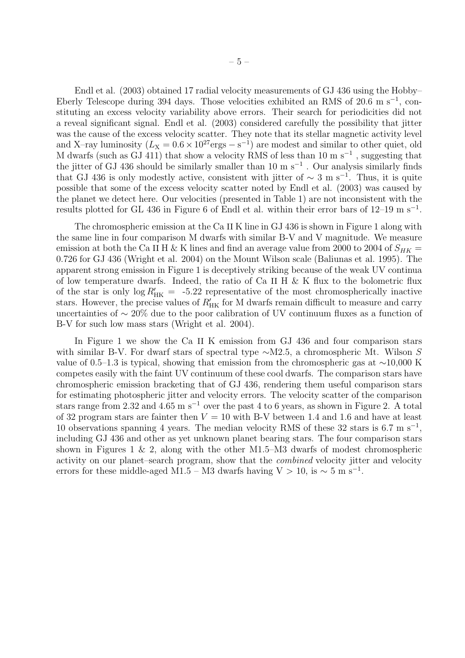Endl et al. (2003) obtained 17 radial velocity measurements of GJ 436 using the Hobby– Eberly Telescope during 394 days. Those velocities exhibited an RMS of 20.6 m s<sup>-1</sup>, constituting an excess velocity variability above errors. Their search for periodicities did not a reveal significant signal. Endl et al. (2003) considered carefully the possibility that jitter was the cause of the excess velocity scatter. They note that its stellar magnetic activity level and X–ray luminosity  $(L_X = 0.6 \times 10^{27} \text{ergs} - \text{s}^{-1})$  are modest and similar to other quiet, old M dwarfs (such as GJ 411) that show a velocity RMS of less than 10 m s<sup>-1</sup>, suggesting that the jitter of GJ 436 should be similarly smaller than 10 m s<sup> $-1$ </sup>. Our analysis similarly finds that GJ 436 is only modestly active, consistent with jitter of  $\sim 3$  m s<sup>-1</sup>. Thus, it is quite possible that some of the excess velocity scatter noted by Endl et al. (2003) was caused by the planet we detect here. Our velocities (presented in Table 1) are not inconsistent with the results plotted for GL 436 in Figure 6 of Endl et al. within their error bars of 12–19 m s−<sup>1</sup>.

The chromospheric emission at the Ca II K line in GJ 436 is shown in Figure 1 along with the same line in four comparison M dwarfs with similar B-V and V magnitude. We measure emission at both the Ca II H & K lines and find an average value from 2000 to 2004 of  $S_{HK}$  = 0.726 for GJ 436 (Wright et al. 2004) on the Mount Wilson scale (Baliunas et al. 1995). The apparent strong emission in Figure 1 is deceptively striking because of the weak UV continua of low temperature dwarfs. Indeed, the ratio of Ca II H  $\&$  K flux to the bolometric flux of the star is only  $\log R'_{HK} = -5.22$  representative of the most chromospherically inactive stars. However, the precise values of  $R'_{HK}$  for M dwarfs remain difficult to measure and carry uncertainties of ∼ 20% due to the poor calibration of UV continuum fluxes as a function of B-V for such low mass stars (Wright et al. 2004).

In Figure 1 we show the Ca II K emission from GJ 436 and four comparison stars with similar B-V. For dwarf stars of spectral type <sup>∼</sup>M2.5, a chromospheric Mt. Wilson <sup>S</sup> value of 0.5–1.3 is typical, showing that emission from the chromospheric gas at ∼10,000 K competes easily with the faint UV continuum of these cool dwarfs. The comparison stars have chromospheric emission bracketing that of GJ 436, rendering them useful comparison stars for estimating photospheric jitter and velocity errors. The velocity scatter of the comparison stars range from 2.32 and 4.65 m s<sup>-1</sup> over the past 4 to 6 years, as shown in Figure 2. A total of 32 program stars are fainter then  $V = 10$  with B-V between 1.4 and 1.6 and have at least 10 observations spanning 4 years. The median velocity RMS of these 32 stars is 6.7 m s<sup>-1</sup>, including GJ 436 and other as yet unknown planet bearing stars. The four comparison stars shown in Figures 1 & 2, along with the other M1.5–M3 dwarfs of modest chromospheric activity on our planet–search program, show that the *combined* velocity jitter and velocity errors for these middle-aged M1.5 – M3 dwarfs having V > 10, is  $\sim 5 \text{ m s}^{-1}$ .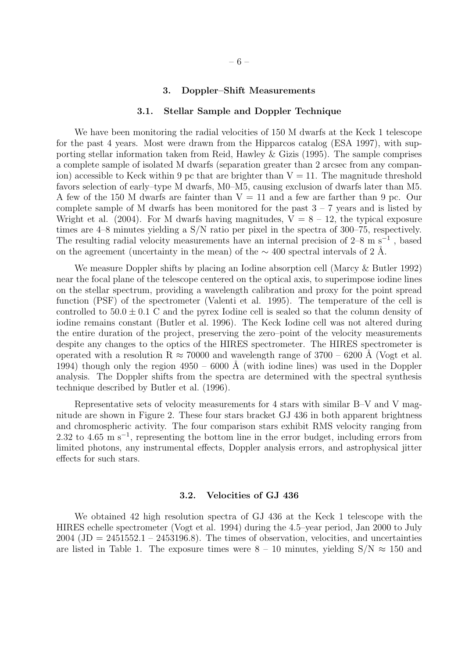#### **3. Doppler–Shift Measurements**

#### **3.1. Stellar Sample and Doppler Technique**

We have been monitoring the radial velocities of 150 M dwarfs at the Keck 1 telescope for the past 4 years. Most were drawn from the Hipparcos catalog (ESA 1997), with supporting stellar information taken from Reid, Hawley & Gizis (1995). The sample comprises a complete sample of isolated M dwarfs (separation greater than 2 arcsec from any companion) accessible to Keck within 9 pc that are brighter than  $V = 11$ . The magnitude threshold favors selection of early–type M dwarfs, M0–M5, causing exclusion of dwarfs later than M5. A few of the 150 M dwarfs are fainter than  $V = 11$  and a few are farther than 9 pc. Our complete sample of M dwarfs has been monitored for the past  $3 - 7$  years and is listed by Wright et al. (2004). For M dwarfs having magnitudes,  $V = 8 - 12$ , the typical exposure times are 4–8 minutes yielding a S/N ratio per pixel in the spectra of 300–75, respectively. The resulting radial velocity measurements have an internal precision of  $2-8$  m s<sup>-1</sup>, based on the agreement (uncertainty in the mean) of the  $\sim 400$  spectral intervals of 2 Å.

We measure Doppler shifts by placing an Iodine absorption cell (Marcy & Butler 1992) near the focal plane of the telescope centered on the optical axis, to superimpose iodine lines on the stellar spectrum, providing a wavelength calibration and proxy for the point spread function (PSF) of the spectrometer (Valenti et al. 1995). The temperature of the cell is controlled to  $50.0 \pm 0.1$  C and the pyrex Iodine cell is sealed so that the column density of iodine remains constant (Butler et al. 1996). The Keck Iodine cell was not altered during the entire duration of the project, preserving the zero–point of the velocity measurements despite any changes to the optics of the HIRES spectrometer. The HIRES spectrometer is operated with a resolution R  $\approx 70000$  and wavelength range of 3700 – 6200 Å (Vogt et al. 1994) though only the region  $4950 - 6000$  Å (with iodine lines) was used in the Doppler analysis. The Doppler shifts from the spectra are determined with the spectral synthesis technique described by Butler et al. (1996).

Representative sets of velocity measurements for 4 stars with similar B–V and V magnitude are shown in Figure 2. These four stars bracket GJ 436 in both apparent brightness and chromospheric activity. The four comparison stars exhibit RMS velocity ranging from 2.32 to 4.65 m s<sup>-1</sup>, representing the bottom line in the error budget, including errors from limited photons, any instrumental effects, Doppler analysis errors, and astrophysical jitter effects for such stars.

#### **3.2. Velocities of GJ 436**

We obtained 42 high resolution spectra of GJ 436 at the Keck 1 telescope with the HIRES echelle spectrometer (Vogt et al. 1994) during the 4.5–year period, Jan 2000 to July  $2004$  (JD =  $2451552.1 - 2453196.8$ ). The times of observation, velocities, and uncertainties are listed in Table 1. The exposure times were  $8 - 10$  minutes, yielding  $S/N \approx 150$  and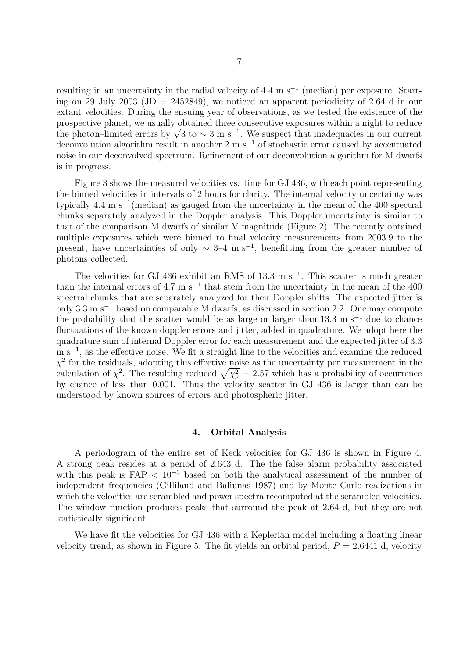resulting in an uncertainty in the radial velocity of 4.4 m s<sup> $-1$ </sup> (median) per exposure. Starting on 29 July 2003 (JD = 2452849), we noticed an apparent periodicity of 2.64 d in our extant velocities. During the ensuing year of observations, as we tested the existence of the prospective planet, we usually obtained three consecutive exposures within a night to reduce the photon–limited errors by  $\sqrt{3}$  to ~ 3 m s<sup>-1</sup>. We suspect that inadequacies in our current deconvolution algorithm result in another 2 m s<sup>-1</sup> of stochastic error caused by accentuated noise in our deconvolved spectrum. Refinement of our deconvolution algorithm for M dwarfs is in progress.

Figure 3 shows the measured velocities vs. time for GJ 436, with each point representing the binned velocities in intervals of 2 hours for clarity. The internal velocity uncertainty was typically 4.4 m s<sup> $-1$ </sup>(median) as gauged from the uncertainty in the mean of the 400 spectral chunks separately analyzed in the Doppler analysis. This Doppler uncertainty is similar to that of the comparison M dwarfs of similar V magnitude (Figure 2). The recently obtained multiple exposures which were binned to final velocity measurements from 2003.9 to the present, have uncertainties of only  $\sim 3$ –4 m s<sup>-1</sup>, benefitting from the greater number of photons collected.

The velocities for GJ 436 exhibit an RMS of 13.3 m s<sup>-1</sup>. This scatter is much greater than the internal errors of 4.7 m s<sup>−1</sup> that stem from the uncertainty in the mean of the 400 spectral chunks that are separately analyzed for their Doppler shifts. The expected jitter is only 3.3 m s−<sup>1</sup> based on comparable M dwarfs, as discussed in section 2.2. One may compute the probability that the scatter would be as large or larger than 13.3 m s<sup>−1</sup> due to chance fluctuations of the known doppler errors and jitter, added in quadrature. We adopt here the quadrature sum of internal Doppler error for each measurement and the expected jitter of 3.3 m s<sup>-1</sup>, as the effective noise. We fit a straight line to the velocities and examine the reduced  $\chi^2$  for the residuals, adopting this effective noise as the uncertainty per measurement in the calculation of  $\chi^2$ . The resulting reduced  $\sqrt{\chi_{\nu}^2} = 2.57$  which has a probability of occurrence by chance of less than 0.001. Thus the velocity scatter in GJ 436 is larger than can be understood by known sources of errors and photospheric jitter.

## **4. Orbital Analysis**

A periodogram of the entire set of Keck velocities for GJ 436 is shown in Figure 4. A strong peak resides at a period of 2.643 d. The the false alarm probability associated with this peak is  $FAP < 10^{-3}$  based on both the analytical assessment of the number of independent frequencies (Gilliland and Baliunas 1987) and by Monte Carlo realizations in which the velocities are scrambled and power spectra recomputed at the scrambled velocities. The window function produces peaks that surround the peak at 2.64 d, but they are not statistically significant.

We have fit the velocities for GJ 436 with a Keplerian model including a floating linear velocity trend, as shown in Figure 5. The fit yields an orbital period,  $P = 2.6441$  d, velocity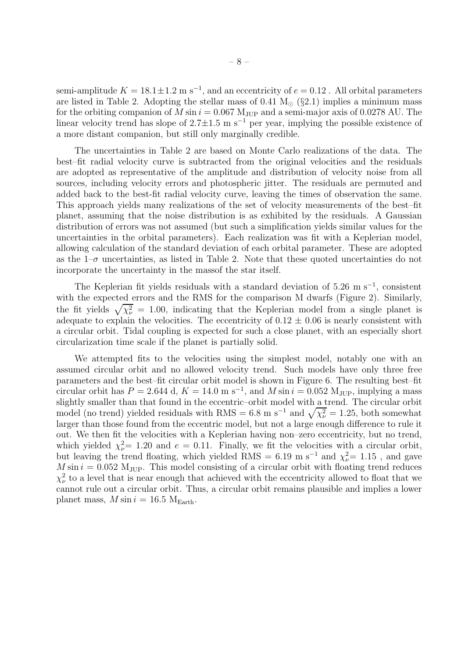semi-amplitude  $K = 18.1 \pm 1.2 \text{ m s}^{-1}$ , and an eccentricity of  $e = 0.12$ . All orbital parameters are listed in Table 2. Adopting the stellar mass of 0.41  $M_{\odot}$  (§2.1) implies a minimum mass for the orbiting companion of  $M \sin i = 0.067 \text{ M}_{\text{JUP}}$  and a semi-major axis of 0.0278 AU. The linear velocity trend has slope of  $2.7 \pm 1.5$  m s<sup>-1</sup> per year, implying the possible existence of a more distant companion, but still only marginally credible.

The uncertainties in Table 2 are based on Monte Carlo realizations of the data. The best–fit radial velocity curve is subtracted from the original velocities and the residuals are adopted as representative of the amplitude and distribution of velocity noise from all sources, including velocity errors and photospheric jitter. The residuals are permuted and added back to the best-fit radial velocity curve, leaving the times of observation the same. This approach yields many realizations of the set of velocity measurements of the best–fit planet, assuming that the noise distribution is as exhibited by the residuals. A Gaussian distribution of errors was not assumed (but such a simplification yields similar values for the uncertainties in the orbital parameters). Each realization was fit with a Keplerian model, allowing calculation of the standard deviation of each orbital parameter. These are adopted as the  $1-\sigma$  uncertainties, as listed in Table 2. Note that these quoted uncertainties do not incorporate the uncertainty in the massof the star itself.

The Keplerian fit yields residuals with a standard deviation of 5.26 m s<sup>-1</sup>, consistent with the expected errors and the RMS for the comparison M dwarfs (Figure 2). Similarly, the fit yields  $\sqrt{\chi_{\nu}^2}$  = 1.00, indicating that the Keplerian model from a single planet is adequate to explain the velocities. The eccentricity of  $0.12 \pm 0.06$  is nearly consistent with a circular orbit. Tidal coupling is expected for such a close planet, with an especially short circularization time scale if the planet is partially solid.

We attempted fits to the velocities using the simplest model, notably one with an assumed circular orbit and no allowed velocity trend. Such models have only three free parameters and the best–fit circular orbit model is shown in Figure 6. The resulting best–fit circular orbit has  $P = 2.644$  d,  $K = 14.0$  m s<sup>-1</sup>, and M sin  $i = 0.052$  M<sub>JUP</sub>, implying a mass slightly smaller than that found in the eccentric–orbit model with a trend. The circular orbit model (no trend) yielded residuals with RMS = 6.8 m s<sup>-1</sup> and  $\sqrt{\chi_{\nu}^2}$  = 1.25, both somewhat larger than those found from the eccentric model, but not a large enough difference to rule it out. We then fit the velocities with a Keplerian having non–zero eccentricity, but no trend, which yielded  $\chi^2_{\nu} = 1.20$  and  $e = 0.11$ . Finally, we fit the velocities with a circular orbit, but leaving the trend floating, which yielded RMS = 6.19 m s<sup>-1</sup> and  $\chi^2_{\nu}$  = 1.15, and gave  $M \sin i = 0.052$  M<sub>JUP</sub>. This model consisting of a circular orbit with floating trend reduces  $\chi^2_{\nu}$  to a level that is near enough that achieved with the eccentricity allowed to float that we cannot rule out a circular orbit. Thus, a circular orbit remains plausible and implies a lower planet mass,  $M \sin i = 16.5 \text{ M}_{\text{Earth}}$ .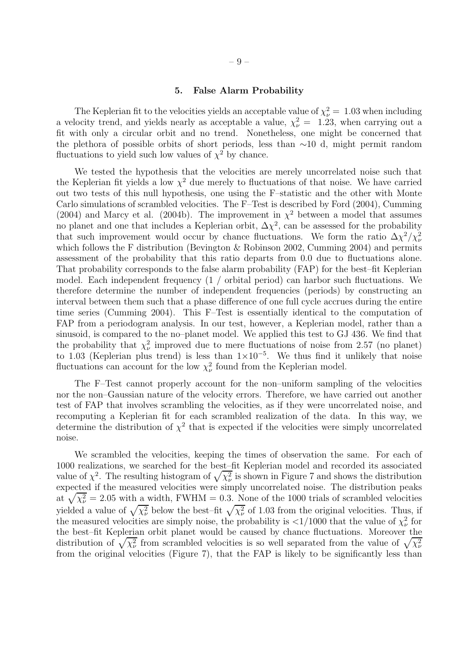### **5. False Alarm Probability**

The Keplerian fit to the velocities yields an acceptable value of  $\chi^2_{\nu} = 1.03$  when including a velocity trend, and yields nearly as acceptable a value,  $\chi^2_{\nu} = 1.23$ , when carrying out a fit with only a circular orbit and no trend. Nonetheless, one might be concerned that the plethora of possible orbits of short periods, less than ∼10 d, might permit random fluctuations to yield such low values of  $\chi^2$  by chance.

We tested the hypothesis that the velocities are merely uncorrelated noise such that the Keplerian fit yields a low  $\chi^2$  due merely to fluctuations of that noise. We have carried out two tests of this null hypothesis, one using the F–statistic and the other with Monte Carlo simulations of scrambled velocities. The F–Test is described by Ford (2004), Cumming (2004) and Marcy et al. (2004b). The improvement in  $\chi^2$  between a model that assumes no planet and one that includes a Keplerian orbit,  $\Delta \chi^2$ , can be assessed for the probability that such improvement would occur by chance fluctuations. We form the ratio  $\Delta \chi^2 / \chi^2_{\nu}$ which follows the F distribution (Bevington & Robinson 2002, Cumming 2004) and permits assessment of the probability that this ratio departs from 0.0 due to fluctuations alone. That probability corresponds to the false alarm probability (FAP) for the best–fit Keplerian model. Each independent frequency (1 / orbital period) can harbor such fluctuations. We therefore determine the number of independent frequencies (periods) by constructing an interval between them such that a phase difference of one full cycle accrues during the entire time series (Cumming 2004). This F–Test is essentially identical to the computation of FAP from a periodogram analysis. In our test, however, a Keplerian model, rather than a sinusoid, is compared to the no–planet model. We applied this test to GJ 436. We find that the probability that  $\chi^2_{\nu}$  improved due to mere fluctuations of noise from 2.57 (no planet) to 1.03 (Keplerian plus trend) is less than  $1\times10^{-5}$ . We thus find it unlikely that noise fluctuations can account for the low  $\chi^2_{\nu}$  found from the Keplerian model.

The F–Test cannot properly account for the non–uniform sampling of the velocities nor the non–Gaussian nature of the velocity errors. Therefore, we have carried out another test of FAP that involves scrambling the velocities, as if they were uncorrelated noise, and recomputing a Keplerian fit for each scrambled realization of the data. In this way, we determine the distribution of  $\chi^2$  that is expected if the velocities were simply uncorrelated noise.

We scrambled the velocities, keeping the times of observation the same. For each of 1000 realizations, we searched for the best–fit Keplerian model and recorded its associated value of  $\chi^2$ . The resulting histogram of  $\sqrt{\chi^2_{\nu}}$  is shown in Figure 7 and shows the distribution expected if the measured velocities were simply uncorrelated noise. The distribution peaks at  $\sqrt{\chi_{\nu}^2}$  = 2.05 with a width, FWHM = 0.3. None of the 1000 trials of scrambled velocities yielded a value of  $\sqrt{\chi_{\nu}^2}$  below the best–fit  $\sqrt{\chi_{\nu}^2}$  of 1.03 from the original velocities. Thus, if the measured velocities are simply noise, the probability is  $\langle 1/1000 \rangle$  that the value of  $\chi^2_{\nu}$  for the best–fit Keplerian orbit planet would be caused by chance fluctuations. Moreover the distribution of  $\sqrt{\chi_{\nu}^2}$  from scrambled velocities is so well separated from the value of  $\sqrt{\chi_{\nu}^2}$ from the original velocities (Figure 7), that the FAP is likely to be significantly less than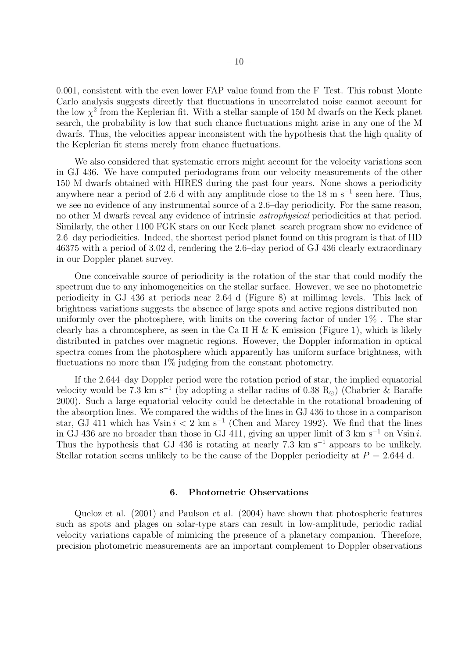0.001, consistent with the even lower FAP value found from the F–Test. This robust Monte Carlo analysis suggests directly that fluctuations in uncorrelated noise cannot account for the low  $\chi^2$  from the Keplerian fit. With a stellar sample of 150 M dwarfs on the Keck planet search, the probability is low that such chance fluctuations might arise in any one of the M dwarfs. Thus, the velocities appear inconsistent with the hypothesis that the high quality of the Keplerian fit stems merely from chance fluctuations.

We also considered that systematic errors might account for the velocity variations seen in GJ 436. We have computed periodograms from our velocity measurements of the other 150 M dwarfs obtained with HIRES during the past four years. None shows a periodicity anywhere near a period of 2.6 d with any amplitude close to the 18 m s<sup> $-1$ </sup> seen here. Thus, we see no evidence of any instrumental source of a 2.6–day periodicity. For the same reason, no other M dwarfs reveal any evidence of intrinsic *astrophysical* periodicities at that period. Similarly, the other 1100 FGK stars on our Keck planet–search program show no evidence of 2.6–day periodicities. Indeed, the shortest period planet found on this program is that of HD 46375 with a period of 3.02 d, rendering the 2.6–day period of GJ 436 clearly extraordinary in our Doppler planet survey.

One conceivable source of periodicity is the rotation of the star that could modify the spectrum due to any inhomogeneities on the stellar surface. However, we see no photometric periodicity in GJ 436 at periods near 2.64 d (Figure 8) at millimag levels. This lack of brightness variations suggests the absence of large spots and active regions distributed non– uniformly over the photosphere, with limits on the covering factor of under 1% . The star clearly has a chromosphere, as seen in the Ca II H & K emission (Figure 1), which is likely distributed in patches over magnetic regions. However, the Doppler information in optical spectra comes from the photosphere which apparently has uniform surface brightness, with fluctuations no more than  $1\%$  judging from the constant photometry.

If the 2.644–day Doppler period were the rotation period of star, the implied equatorial velocity would be 7.3 km s<sup>-1</sup> (by adopting a stellar radius of 0.38 R<sub>☉</sub>) (Chabrier & Baraffe 2000). Such a large equatorial velocity could be detectable in the rotational broadening of the absorption lines. We compared the widths of the lines in GJ 436 to those in a comparison star, GJ 411 which has Vsin  $i < 2$  km s<sup>-1</sup> (Chen and Marcy 1992). We find that the lines in GJ 436 are no broader than those in GJ 411, giving an upper limit of 3 km s<sup>-1</sup> on Vsin i. Thus the hypothesis that GJ 436 is rotating at nearly 7.3 km s<sup>-1</sup> appears to be unlikely. Stellar rotation seems unlikely to be the cause of the Doppler periodicity at  $P = 2.644$  d.

#### **6. Photometric Observations**

Queloz et al. (2001) and Paulson et al. (2004) have shown that photospheric features such as spots and plages on solar-type stars can result in low-amplitude, periodic radial velocity variations capable of mimicing the presence of a planetary companion. Therefore, precision photometric measurements are an important complement to Doppler observations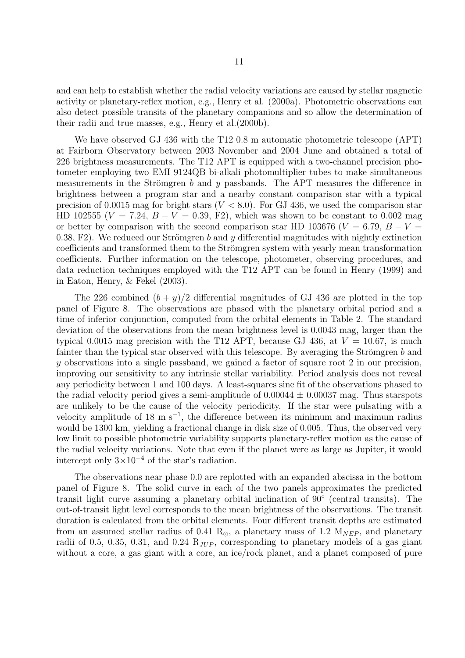and can help to establish whether the radial velocity variations are caused by stellar magnetic activity or planetary-reflex motion, e.g., Henry et al. (2000a). Photometric observations can also detect possible transits of the planetary companions and so allow the determination of their radii and true masses, e.g., Henry et al.(2000b).

We have observed GJ 436 with the T12 0.8 m automatic photometric telescope (APT) at Fairborn Observatory between 2003 November and 2004 June and obtained a total of 226 brightness measurements. The T12 APT is equipped with a two-channel precision photometer employing two EMI 9124QB bi-alkali photomultiplier tubes to make simultaneous measurements in the Strömgren  $b$  and  $y$  passbands. The APT measures the difference in brightness between a program star and a nearby constant comparison star with a typical precision of 0.0015 mag for bright stars  $(V < 8.0)$ . For GJ 436, we used the comparison star HD 102555 ( $V = 7.24, B - V = 0.39, F2$ ), which was shown to be constant to 0.002 mag or better by comparison with the second comparison star HD 103676 ( $V = 6.79$ ,  $B - V =$ 0.38, F2). We reduced our Strömgren b and y differential magnitudes with nightly extinction coefficients and transformed them to the Strömgren system with yearly mean transformation coefficients. Further information on the telescope, photometer, observing procedures, and data reduction techniques employed with the T12 APT can be found in Henry (1999) and in Eaton, Henry, & Fekel (2003).

The 226 combined  $(b + y)/2$  differential magnitudes of GJ 436 are plotted in the top panel of Figure 8. The observations are phased with the planetary orbital period and a time of inferior conjunction, computed from the orbital elements in Table 2. The standard deviation of the observations from the mean brightness level is 0.0043 mag, larger than the typical 0.0015 mag precision with the T12 APT, because GJ 436, at  $V = 10.67$ , is much fainter than the typical star observed with this telescope. By averaging the Strömgren  $b$  and y observations into a single passband, we gained a factor of square root 2 in our precision, improving our sensitivity to any intrinsic stellar variability. Period analysis does not reveal any periodicity between 1 and 100 days. A least-squares sine fit of the observations phased to the radial velocity period gives a semi-amplitude of  $0.00044 \pm 0.00037$  mag. Thus starspots are unlikely to be the cause of the velocity periodicity. If the star were pulsating with a velocity amplitude of 18 m s<sup>-1</sup>, the difference between its minimum and maximum radius would be 1300 km, yielding a fractional change in disk size of 0.005. Thus, the observed very low limit to possible photometric variability supports planetary-reflex motion as the cause of the radial velocity variations. Note that even if the planet were as large as Jupiter, it would intercept only  $3\times10^{-4}$  of the star's radiation.

The observations near phase 0.0 are replotted with an expanded abscissa in the bottom panel of Figure 8. The solid curve in each of the two panels approximates the predicted transit light curve assuming a planetary orbital inclination of 90◦ (central transits). The out-of-transit light level corresponds to the mean brightness of the observations. The transit duration is calculated from the orbital elements. Four different transit depths are estimated from an assumed stellar radius of 0.41  $R_{\odot}$ , a planetary mass of 1.2  $M_{NEP}$ , and planetary radii of 0.5, 0.35, 0.31, and 0.24  $R_{JUP}$ , corresponding to planetary models of a gas giant without a core, a gas giant with a core, an ice/rock planet, and a planet composed of pure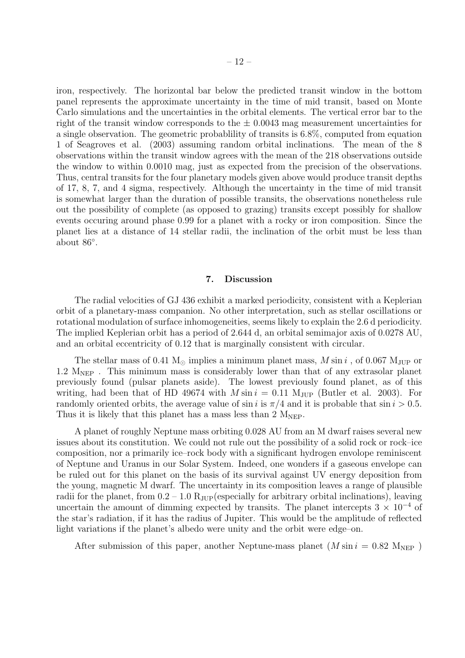iron, respectively. The horizontal bar below the predicted transit window in the bottom panel represents the approximate uncertainty in the time of mid transit, based on Monte Carlo simulations and the uncertainties in the orbital elements. The vertical error bar to the right of the transit window corresponds to the  $\pm$  0.0043 mag measurement uncertainties for a single observation. The geometric probablility of transits is 6.8%, computed from equation 1 of Seagroves et al. (2003) assuming random orbital inclinations. The mean of the 8 observations within the transit window agrees with the mean of the 218 observations outside the window to within 0.0010 mag, just as expected from the precision of the observations. Thus, central transits for the four planetary models given above would produce transit depths of 17, 8, 7, and 4 sigma, respectively. Although the uncertainty in the time of mid transit is somewhat larger than the duration of possible transits, the observations nonetheless rule out the possibility of complete (as opposed to grazing) transits except possibly for shallow events occuring around phase 0.99 for a planet with a rocky or iron composition. Since the planet lies at a distance of 14 stellar radii, the inclination of the orbit must be less than about 86◦.

# **7. Discussion**

The radial velocities of GJ 436 exhibit a marked periodicity, consistent with a Keplerian orbit of a planetary-mass companion. No other interpretation, such as stellar oscillations or rotational modulation of surface inhomogeneities, seems likely to explain the 2.6 d periodicity. The implied Keplerian orbit has a period of 2.644 d, an orbital semimajor axis of 0.0278 AU, and an orbital eccentricity of 0.12 that is marginally consistent with circular.

The stellar mass of 0.41  $M_{\odot}$  implies a minimum planet mass, M sin i, of 0.067  $M_{JUP}$  or 1.2  $M_{NEP}$ . This minimum mass is considerably lower than that of any extrasolar planet previously found (pulsar planets aside). The lowest previously found planet, as of this writing, had been that of HD 49674 with  $M \sin i = 0.11$  M<sub>JUP</sub> (Butler et al. 2003). For randomly oriented orbits, the average value of  $\sin i$  is  $\pi/4$  and it is probable that  $\sin i > 0.5$ . Thus it is likely that this planet has a mass less than  $2 \text{ M}_{\text{NEP}}$ .

A planet of roughly Neptune mass orbiting 0.028 AU from an M dwarf raises several new issues about its constitution. We could not rule out the possibility of a solid rock or rock–ice composition, nor a primarily ice–rock body with a significant hydrogen envolope reminiscent of Neptune and Uranus in our Solar System. Indeed, one wonders if a gaseous envelope can be ruled out for this planet on the basis of its survival against UV energy deposition from the young, magnetic M dwarf. The uncertainty in its composition leaves a range of plausible radii for the planet, from  $0.2 - 1.0$   $R_{JUP}$  (especially for arbitrary orbital inclinations), leaving uncertain the amount of dimming expected by transits. The planet intercepts  $3 \times 10^{-4}$  of the star's radiation, if it has the radius of Jupiter. This would be the amplitude of reflected light variations if the planet's albedo were unity and the orbit were edge–on.

After submission of this paper, another Neptune-mass planet  $(M \sin i = 0.82$  M<sub>NEP</sub>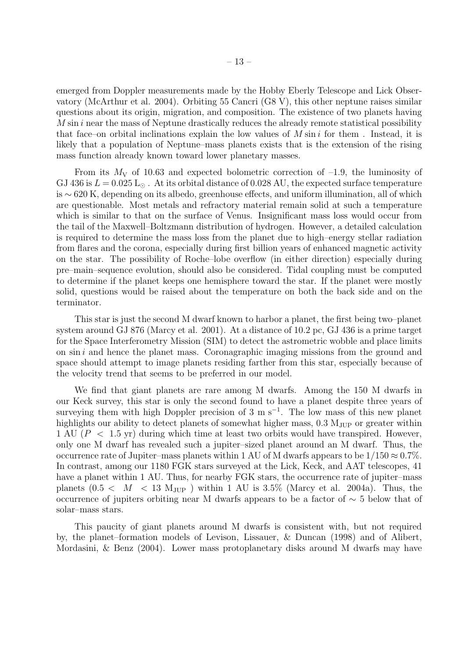emerged from Doppler measurements made by the Hobby Eberly Telescope and Lick Observatory (McArthur et al. 2004). Orbiting 55 Cancri (G8 V), this other neptune raises similar questions about its origin, migration, and composition. The existence of two planets having  $M \sin i$  near the mass of Neptune drastically reduces the already remote statistical possibility that face–on orbital inclinations explain the low values of  $M \sin i$  for them. Instead, it is likely that a population of Neptune–mass planets exists that is the extension of the rising mass function already known toward lower planetary masses.

From its  $M_V$  of 10.63 and expected bolometric correction of  $-1.9$ , the luminosity of GJ 436 is  $L = 0.025 \text{ L}_{\odot}$ . At its orbital distance of 0.028 AU, the expected surface temperature is ∼ 620 K, depending on its albedo, greenhouse effects, and uniform illumination, all of which are questionable. Most metals and refractory material remain solid at such a temperature which is similar to that on the surface of Venus. Insignificant mass loss would occur from the tail of the Maxwell–Boltzmann distribution of hydrogen. However, a detailed calculation is required to determine the mass loss from the planet due to high–energy stellar radiation from flares and the corona, especially during first billion years of enhanced magnetic activity on the star. The possibility of Roche–lobe overflow (in either direction) especially during pre–main–sequence evolution, should also be considered. Tidal coupling must be computed to determine if the planet keeps one hemisphere toward the star. If the planet were mostly solid, questions would be raised about the temperature on both the back side and on the terminator.

This star is just the second M dwarf known to harbor a planet, the first being two–planet system around GJ 876 (Marcy et al. 2001). At a distance of 10.2 pc, GJ 436 is a prime target for the Space Interferometry Mission (SIM) to detect the astrometric wobble and place limits on  $\sin i$  and hence the planet mass. Coronagraphic imaging missions from the ground and space should attempt to image planets residing farther from this star, especially because of the velocity trend that seems to be preferred in our model.

We find that giant planets are rare among M dwarfs. Among the 150 M dwarfs in our Keck survey, this star is only the second found to have a planet despite three years of surveying them with high Doppler precision of 3 m s<sup>-1</sup>. The low mass of this new planet highlights our ability to detect planets of somewhat higher mass,  $0.3 M_{\text{JUP}}$  or greater within 1 AU  $(P < 1.5$  yr) during which time at least two orbits would have transpired. However, only one M dwarf has revealed such a jupiter–sized planet around an M dwarf. Thus, the occurrence rate of Jupiter–mass planets within 1 AU of M dwarfs appears to be  $1/150 \approx 0.7\%$ . In contrast, among our 1180 FGK stars surveyed at the Lick, Keck, and AAT telescopes, 41 have a planet within 1 AU. Thus, for nearby FGK stars, the occurrence rate of jupiter–mass planets  $(0.5 < M < 13$  M<sub>JUP</sub>) within 1 AU is 3.5% (Marcy et al. 2004a). Thus, the occurrence of jupiters orbiting near M dwarfs appears to be a factor of ∼ 5 below that of solar–mass stars.

This paucity of giant planets around M dwarfs is consistent with, but not required by, the planet–formation models of Levison, Lissauer, & Duncan (1998) and of Alibert, Mordasini, & Benz (2004). Lower mass protoplanetary disks around M dwarfs may have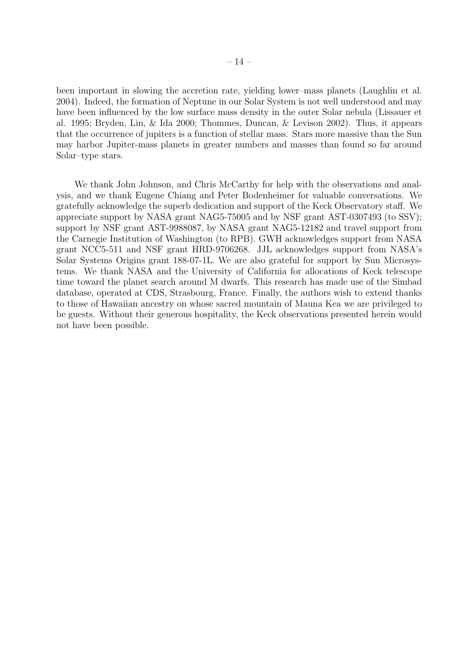been important in slowing the accretion rate, yielding lower–mass planets (Laughlin et al. 2004). Indeed, the formation of Neptune in our Solar System is not well understood and may have been influenced by the low surface mass density in the outer Solar nebula (Lissauer et al. 1995; Bryden, Lin, & Ida 2000; Thommes, Duncan, & Levison 2002). Thus, it appears that the occurrence of jupiters is a function of stellar mass. Stars more massive than the Sun may harbor Jupiter-mass planets in greater numbers and masses than found so far around Solar–type stars.

We thank John Johnson, and Chris McCarthy for help with the observations and analysis, and we thank Eugene Chiang and Peter Bodenheimer for valuable conversations. We gratefully acknowledge the superb dedication and support of the Keck Observatory staff. We appreciate support by NASA grant NAG5-75005 and by NSF grant AST-0307493 (to SSV); support by NSF grant AST-9988087, by NASA grant NAG5-12182 and travel support from the Carnegie Institution of Washington (to RPB). GWH acknowledges support from NASA grant NCC5-511 and NSF grant HRD-9706268. JJL acknowledges support from NASA's Solar Systems Origins grant 188-07-1L. We are also grateful for support by Sun Microsystems. We thank NASA and the University of California for allocations of Keck telescope time toward the planet search around M dwarfs. This research has made use of the Simbad database, operated at CDS, Strasbourg, France. Finally, the authors wish to extend thanks to those of Hawaiian ancestry on whose sacred mountain of Mauna Kea we are privileged to be guests. Without their generous hospitality, the Keck observations presented herein would not have been possible.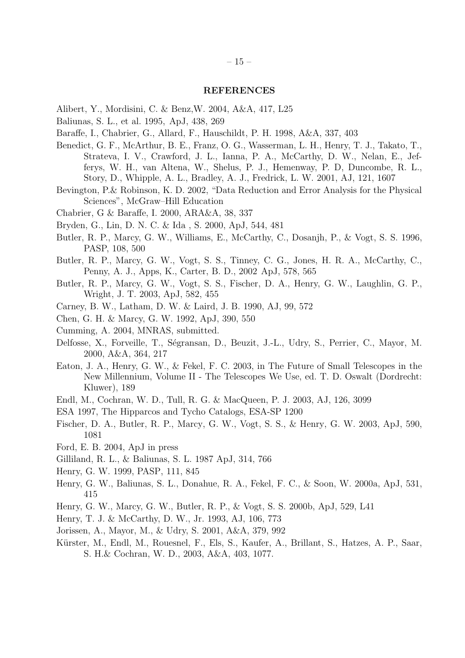# **REFERENCES**

- Alibert, Y., Mordisini, C. & Benz,W. 2004, A&A, 417, L25
- Baliunas, S. L., et al. 1995, ApJ, 438, 269
- Baraffe, I., Chabrier, G., Allard, F., Hauschildt, P. H. 1998, A&A, 337, 403
- Benedict, G. F., McArthur, B. E., Franz, O. G., Wasserman, L. H., Henry, T. J., Takato, T., Strateva, I. V., Crawford, J. L., Ianna, P. A., McCarthy, D. W., Nelan, E., Jefferys, W. H., van Altena, W., Shelus, P. J., Hemenway, P. D, Duncombe, R. L., Story, D., Whipple, A. L., Bradley, A. J., Fredrick, L. W. 2001, AJ, 121, 1607
- Bevington, P.& Robinson, K. D. 2002, "Data Reduction and Error Analysis for the Physical Sciences", McGraw–Hill Education
- Chabrier, G & Baraffe, I. 2000, ARA&A, 38, 337
- Bryden, G., Lin, D. N. C. & Ida , S. 2000, ApJ, 544, 481
- Butler, R. P., Marcy, G. W., Williams, E., McCarthy, C., Dosanjh, P., & Vogt, S. S. 1996, PASP, 108, 500
- Butler, R. P., Marcy, G. W., Vogt, S. S., Tinney, C. G., Jones, H. R. A., McCarthy, C., Penny, A. J., Apps, K., Carter, B. D., 2002 ApJ, 578, 565
- Butler, R. P., Marcy, G. W., Vogt, S. S., Fischer, D. A., Henry, G. W., Laughlin, G. P., Wright, J. T. 2003, ApJ, 582, 455
- Carney, B. W., Latham, D. W. & Laird, J. B. 1990, AJ, 99, 572
- Chen, G. H. & Marcy, G. W. 1992, ApJ, 390, 550
- Cumming, A. 2004, MNRAS, submitted.
- Delfosse, X., Forveille, T., Ségransan, D., Beuzit, J.-L., Udry, S., Perrier, C., Mayor, M. 2000, A&A, 364, 217
- Eaton, J. A., Henry, G. W., & Fekel, F. C. 2003, in The Future of Small Telescopes in the New Millennium, Volume II - The Telescopes We Use, ed. T. D. Oswalt (Dordrecht: Kluwer), 189
- Endl, M., Cochran, W. D., Tull, R. G. & MacQueen, P. J. 2003, AJ, 126, 3099
- ESA 1997, The Hipparcos and Tycho Catalogs, ESA-SP 1200
- Fischer, D. A., Butler, R. P., Marcy, G. W., Vogt, S. S., & Henry, G. W. 2003, ApJ, 590, 1081
- Ford, E. B. 2004, ApJ in press
- Gilliland, R. L., & Baliunas, S. L. 1987 ApJ, 314, 766
- Henry, G. W. 1999, PASP, 111, 845
- Henry, G. W., Baliunas, S. L., Donahue, R. A., Fekel, F. C., & Soon, W. 2000a, ApJ, 531, 415
- Henry, G. W., Marcy, G. W., Butler, R. P., & Vogt, S. S. 2000b, ApJ, 529, L41
- Henry, T. J. & McCarthy, D. W., Jr. 1993, AJ, 106, 773
- Jorissen, A., Mayor, M., & Udry, S. 2001, A&A, 379, 992
- Kürster, M., Endl, M., Rouesnel, F., Els, S., Kaufer, A., Brillant, S., Hatzes, A. P., Saar, S. H.& Cochran, W. D., 2003, A&A, 403, 1077.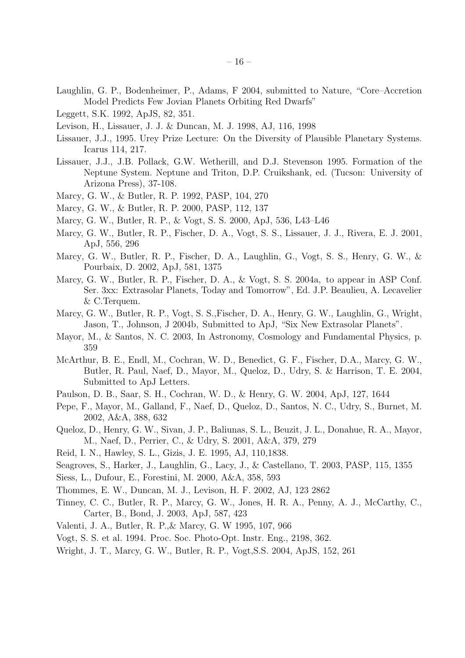- Laughlin, G. P., Bodenheimer, P., Adams, F 2004, submitted to Nature, "Core–Accretion Model Predicts Few Jovian Planets Orbiting Red Dwarfs"
- Leggett, S.K. 1992, ApJS, 82, 351.
- Levison, H., Lissauer, J. J. & Duncan, M. J. 1998, AJ, 116, 1998
- Lissauer, J.J., 1995. Urey Prize Lecture: On the Diversity of Plausible Planetary Systems. Icarus 114, 217.
- Lissauer, J.J., J.B. Pollack, G.W. Wetherill, and D.J. Stevenson 1995. Formation of the Neptune System. Neptune and Triton, D.P. Cruikshank, ed. (Tucson: University of Arizona Press), 37-108.
- Marcy, G. W., & Butler, R. P. 1992, PASP, 104, 270
- Marcy, G. W., & Butler, R. P. 2000, PASP, 112, 137
- Marcy, G. W., Butler, R. P., & Vogt, S. S. 2000, ApJ, 536, L43–L46
- Marcy, G. W., Butler, R. P., Fischer, D. A., Vogt, S. S., Lissauer, J. J., Rivera, E. J. 2001, ApJ, 556, 296
- Marcy, G. W., Butler, R. P., Fischer, D. A., Laughlin, G., Vogt, S. S., Henry, G. W., & Pourbaix, D. 2002, ApJ, 581, 1375
- Marcy, G. W., Butler, R. P., Fischer, D. A., & Vogt, S. S. 2004a, to appear in ASP Conf. Ser. 3xx: Extrasolar Planets, Today and Tomorrow", Ed. J.P. Beaulieu, A. Lecavelier & C.Terquem.
- Marcy, G. W., Butler, R. P., Vogt, S. S.,Fischer, D. A., Henry, G. W., Laughlin, G., Wright, Jason, T., Johnson, J 2004b, Submitted to ApJ, "Six New Extrasolar Planets".
- Mayor, M., & Santos, N. C. 2003, In Astronomy, Cosmology and Fundamental Physics, p. 359
- McArthur, B. E., Endl, M., Cochran, W. D., Benedict, G. F., Fischer, D.A., Marcy, G. W., Butler, R. Paul, Naef, D., Mayor, M., Queloz, D., Udry, S. & Harrison, T. E. 2004, Submitted to ApJ Letters.
- Paulson, D. B., Saar, S. H., Cochran, W. D., & Henry, G. W. 2004, ApJ, 127, 1644
- Pepe, F., Mayor, M., Galland, F., Naef, D., Queloz, D., Santos, N. C., Udry, S., Burnet, M. 2002, A&A, 388, 632
- Queloz, D., Henry, G. W., Sivan, J. P., Baliunas, S. L., Beuzit, J. L., Donahue, R. A., Mayor, M., Naef, D., Perrier, C., & Udry, S. 2001, A&A, 379, 279
- Reid, I. N., Hawley, S. L., Gizis, J. E. 1995, AJ, 110,1838.
- Seagroves, S., Harker, J., Laughlin, G., Lacy, J., & Castellano, T. 2003, PASP, 115, 1355
- Siess, L., Dufour, E., Forestini, M. 2000, A&A, 358, 593
- Thommes, E. W., Duncan, M. J., Levison, H. F. 2002, AJ, 123 2862
- Tinney, C. C., Butler, R. P., Marcy, G. W., Jones, H. R. A., Penny, A. J., McCarthy, C., Carter, B., Bond, J. 2003, ApJ, 587, 423
- Valenti, J. A., Butler, R. P.,& Marcy, G. W 1995, 107, 966
- Vogt, S. S. et al. 1994. Proc. Soc. Photo-Opt. Instr. Eng., 2198, 362.
- Wright, J. T., Marcy, G. W., Butler, R. P., Vogt,S.S. 2004, ApJS, 152, 261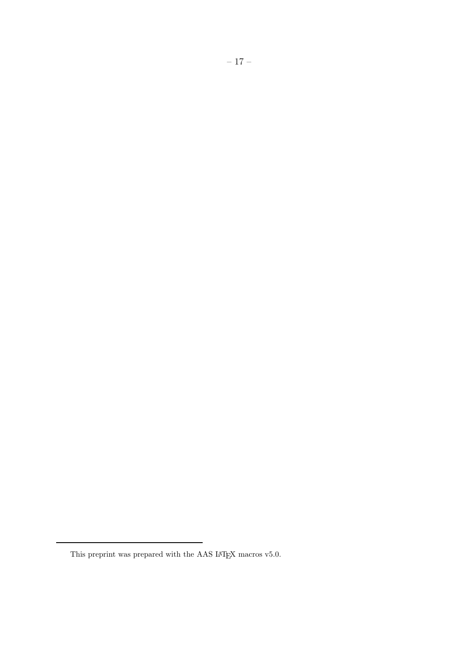This preprint was prepared with the AAS IATEX macros v5.0.  $\,$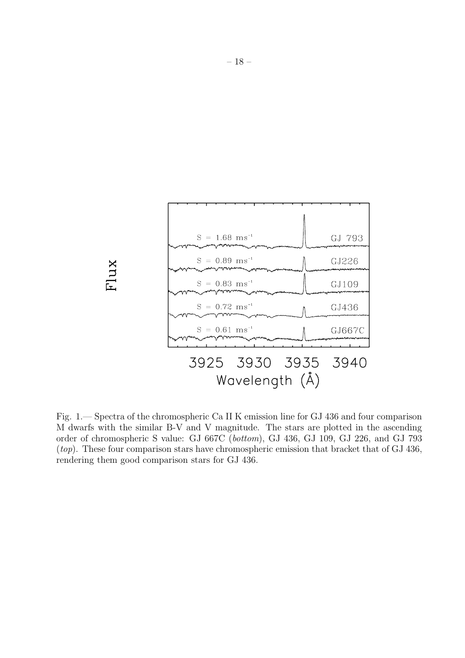

Fig. 1.— Spectra of the chromospheric Ca II K emission line for GJ 436 and four comparison M dwarfs with the similar B-V and V magnitude. The stars are plotted in the ascending order of chromospheric S value: GJ 667C (*bottom*), GJ 436, GJ 109, GJ 226, and GJ 793 (*top*). These four comparison stars have chromospheric emission that bracket that of GJ 436, rendering them good comparison stars for GJ 436.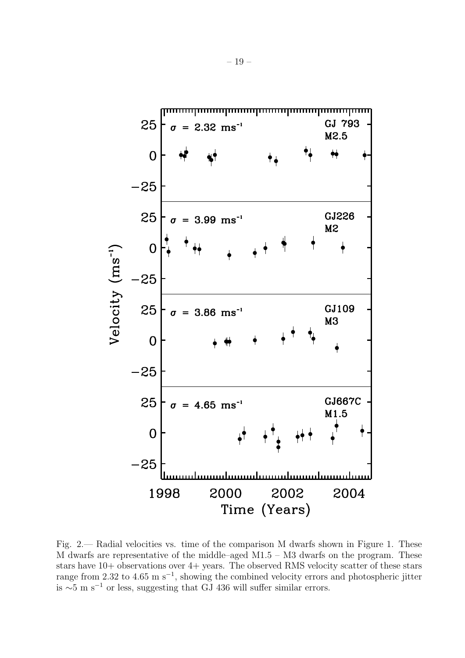

Fig. 2.— Radial velocities vs. time of the comparison M dwarfs shown in Figure 1. These M dwarfs are representative of the middle–aged M1.5 – M3 dwarfs on the program. These stars have 10+ observations over 4+ years. The observed RMS velocity scatter of these stars range from 2.32 to 4.65 m s<sup>-1</sup>, showing the combined velocity errors and photospheric jitter is  $\sim$ 5 m s<sup>-1</sup> or less, suggesting that GJ 436 will suffer similar errors.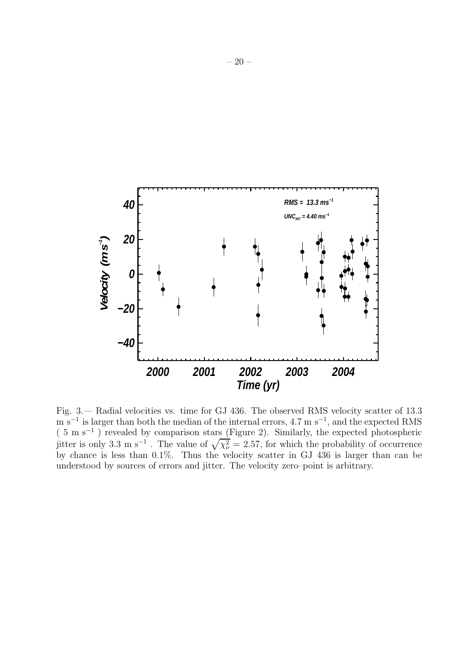

Fig. 3.— Radial velocities vs. time for GJ 436. The observed RMS velocity scatter of 13.3  $m s^{-1}$  is larger than both the median of the internal errors, 4.7 m s<sup>-1</sup>, and the expected RMS (5ms−<sup>1</sup> ) revealed by comparison stars (Figure 2). Similarly, the expected photospheric jitter is only 3.3 m s<sup>-1</sup>. The value of  $\sqrt{\chi_{\nu}^2} = 2.57$ , for which the probability of occurrence by chance is less than 0.1%. Thus the velocity scatter in GJ 436 is larger than can be understood by sources of errors and jitter. The velocity zero–point is arbitrary.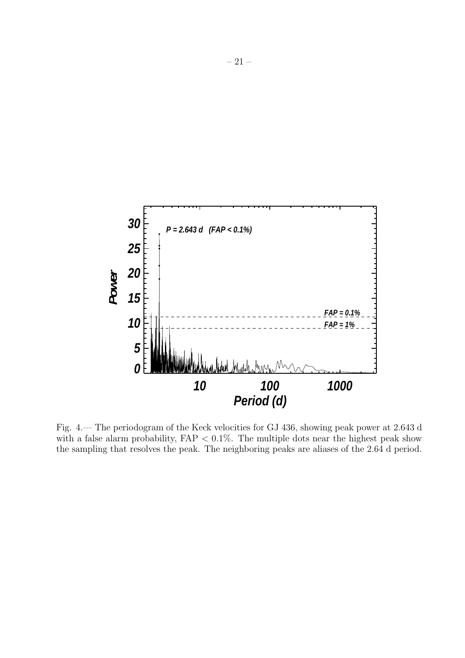

Fig. 4.— The periodogram of the Keck velocities for GJ 436, showing peak power at 2.643 d with a false alarm probability,  $FAP < 0.1\%$ . The multiple dots near the highest peak show the sampling that resolves the peak. The neighboring peaks are aliases of the 2.64 d period.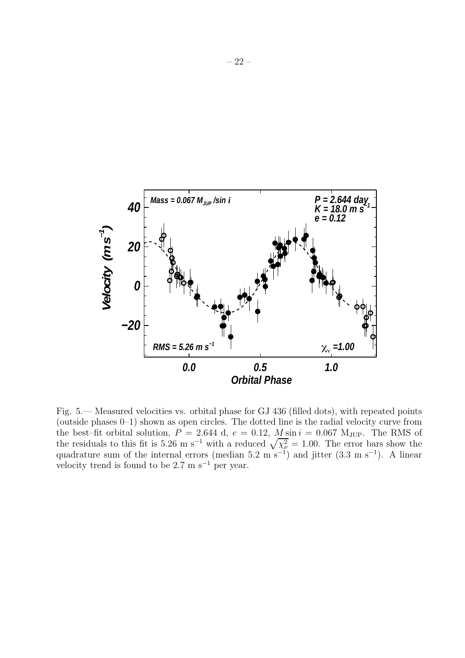

Fig. 5.— Measured velocities vs. orbital phase for GJ 436 (filled dots), with repeated points (outside phases 0–1) shown as open circles. The dotted line is the radial velocity curve from the best–fit orbital solution,  $P = 2.644$  d,  $e = 0.12$ ,  $M \sin i = 0.067$  M<sub>JUP</sub>. The RMS of the residuals to this fit is 5.26 m s<sup>-1</sup> with a reduced  $\sqrt{\chi_{\nu}^2} = 1.00$ . The error bars show the quadrature sum of the internal errors (median 5.2 m s<sup>-1</sup>) and jitter  $(3.3 \text{ m s}^{-1})$ . A linear velocity trend is found to be  $2.7 \text{ m s}^{-1}$  per year.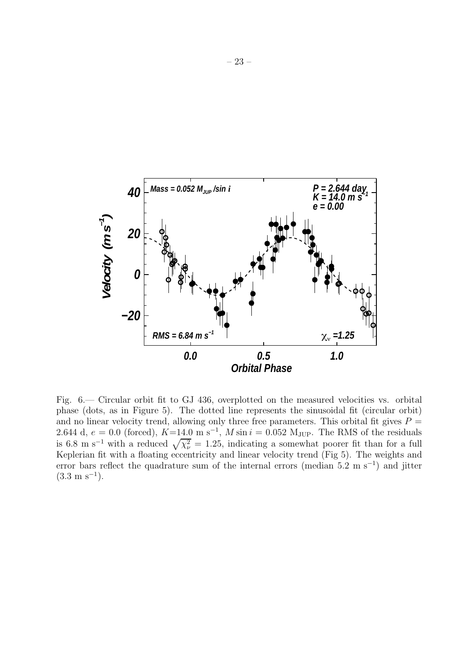

Fig. 6.— Circular orbit fit to GJ 436, overplotted on the measured velocities vs. orbital phase (dots, as in Figure 5). The dotted line represents the sinusoidal fit (circular orbit) and no linear velocity trend, allowing only three free parameters. This orbital fit gives  $P =$ 2.644 d,  $e = 0.0$  (forced),  $K=14.0 \text{ m s}^{-1}$ ,  $M \sin i = 0.052 \text{ M}_{\text{JUP}}$ . The RMS of the residuals is 6.8 m s<sup>-1</sup> with a reduced  $\sqrt{\chi_{\nu}^2} = 1.25$ , indicating a somewhat poorer fit than for a full Keplerian fit with a floating eccentricity and linear velocity trend (Fig 5). The weights and error bars reflect the quadrature sum of the internal errors (median 5.2 m s<sup>-1</sup>) and jitter  $(3.3 \text{ m s}^{-1})$ .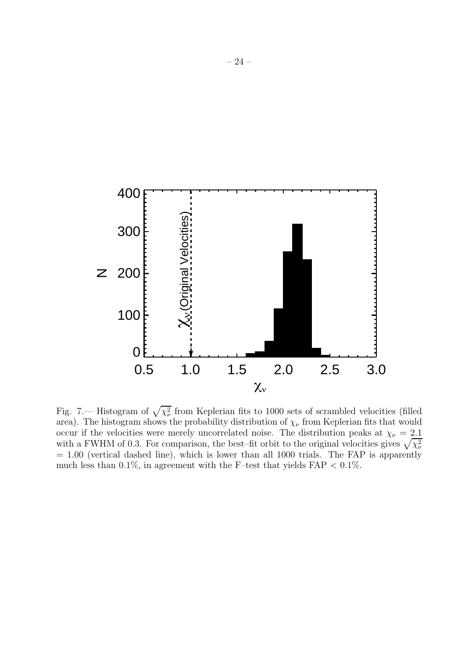

Fig. 7.— Histogram of  $\sqrt{\chi_{\nu}^2}$  from Keplerian fits to 1000 sets of scrambled velocities (filled area). The histogram shows the probability distribution of  $\chi_{\nu}$  from Keplerian fits that would occur if the velocities were merely uncorrelated noise. The distribution peaks at  $\chi_{\nu} = 2.1$ with a FWHM of 0.3. For comparison, the best–fit orbit to the original velocities gives  $\sqrt{\chi_{\nu}^2}$  $= 1.00$  (vertical dashed line), which is lower than all 1000 trials. The FAP is apparently much less than 0.1%, in agreement with the F–test that yields  $FAP < 0.1\%$ .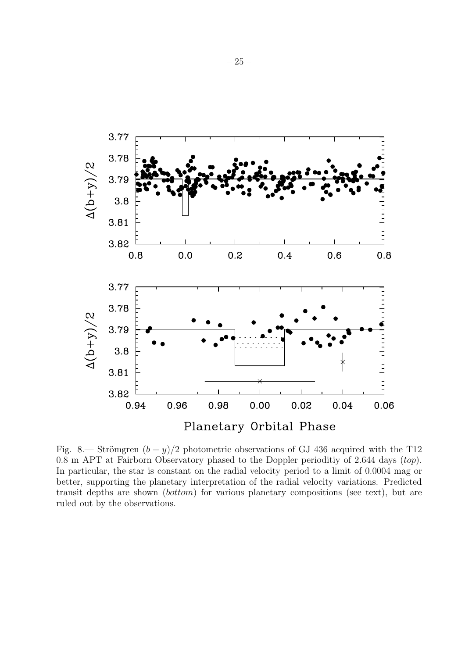

Fig. 8.— Strömgren  $(b + y)/2$  photometric observations of GJ 436 acquired with the T12 0.8 m APT at Fairborn Observatory phased to the Doppler perioditiy of 2.644 days (top). In particular, the star is constant on the radial velocity period to a limit of 0.0004 mag or better, supporting the planetary interpretation of the radial velocity variations. Predicted transit depths are shown (bottom) for various planetary compositions (see text), but are ruled out by the observations.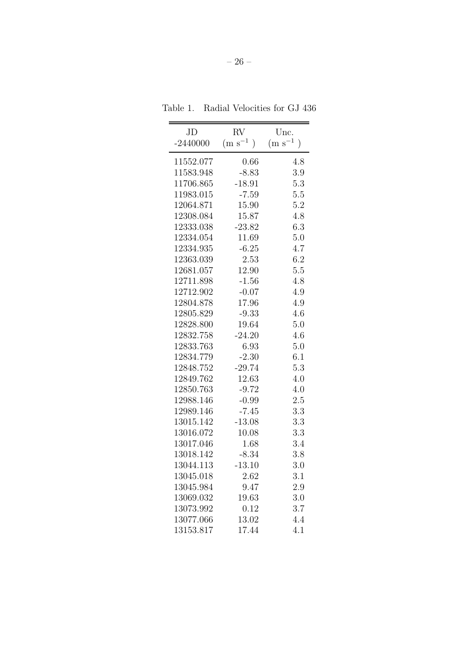Table 1. Radial Velocities for GJ 436

| JD         | RV                               | Unc.                             |
|------------|----------------------------------|----------------------------------|
| $-2440000$ | $(m s^{-1})$<br>$\left( \right)$ | $(m s^{-1})$<br>$\left( \right)$ |
| 11552.077  | 0.66                             | 4.8                              |
| 11583.948  | $-8.83$                          | 3.9                              |
| 11706.865  | $-18.91$                         | 5.3                              |
| 11983.015  | $-7.59$                          | 5.5                              |
| 12064.871  | 15.90                            | 5.2                              |
| 12308.084  | 15.87                            | 4.8                              |
| 12333.038  | $-23.82$                         | 6.3                              |
| 12334.054  | 11.69                            | 5.0                              |
| 12334.935  | $-6.25$                          | 4.7                              |
| 12363.039  | 2.53                             | 6.2                              |
| 12681.057  | 12.90                            | 5.5                              |
| 12711.898  | $-1.56$                          | 4.8                              |
| 12712.902  | $-0.07$                          | 4.9                              |
| 12804.878  | 17.96                            | 4.9                              |
| 12805.829  | $-9.33$                          | 4.6                              |
| 12828.800  | 19.64                            | 5.0                              |
| 12832.758  | $-24.20$                         | 4.6                              |
| 12833.763  | 6.93                             | 5.0                              |
| 12834.779  | $-2.30$                          | 6.1                              |
| 12848.752  | $-29.74$                         | 5.3                              |
| 12849.762  | 12.63                            | 4.0                              |
| 12850.763  | $-9.72$                          | 4.0                              |
| 12988.146  | $-0.99$                          | 2.5                              |
| 12989.146  | $-7.45$                          | 3.3                              |
| 13015.142  | $-13.08$                         | 3.3                              |
| 13016.072  | 10.08                            | 3.3                              |
| 13017.046  | 1.68                             | 3.4                              |
| 13018.142  | $-8.34$                          | 3.8                              |
| 13044.113  | $-13.10$                         | 3.0                              |
| 13045.018  | $2.62\,$                         | 3.1                              |
| 13045.984  | 9.47                             | 2.9                              |
| 13069.032  | 19.63                            | 3.0                              |
| 13073.992  | 0.12                             | 3.7                              |
| 13077.066  | 13.02                            | 4.4                              |
| 13153.817  | 17.44                            | 4.1                              |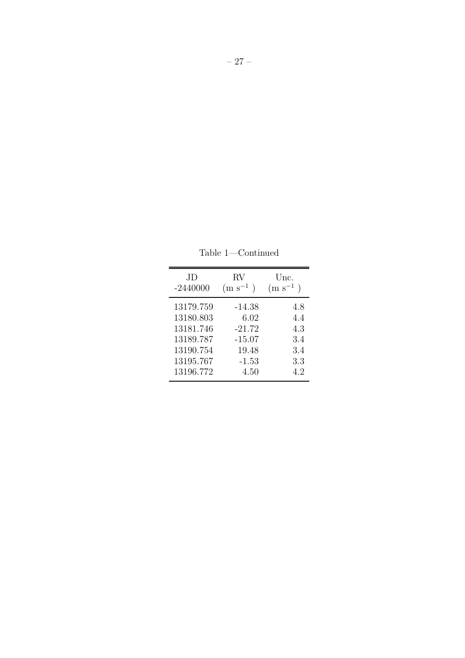JD RV Unc.<br>-2440000  $(m s^{-1})$   $(m s^{-1})$  $\frac{1}{2}$ (m s<sup>−1</sup>)  $\begin{array}{cccc} 13179.759 & \quad -14.38 & \quad & 4.8 \\ 13180.803 & \quad & 6.02 & \quad & 4.4 \end{array}$  $\begin{array}{cccc} 13180.803 & \hspace{1.5mm} 6.02 & \hspace{1.5mm} 4.4 \\ 13181.746 & \hspace{1.5mm} -21.72 & \hspace{1.5mm} 4.3 \end{array}$  $\begin{array}{cccc} 13181.746 & \quad -21.72 & \quad & 4.3 \\ 13189.787 & \quad & -15.07 & \quad & 3.4 \end{array}$  $\begin{array}{cccc} 13189.787 & \quad -15.07 & \quad & 3.4 \\ 13190.754 & \quad & 19.48 & \quad & 3.4 \end{array}$  $13190.754$  $\begin{array}{cccc} 13195.767 & \hspace{1.5mm} \textbf{-1.53} & \hspace{1.5mm} 3.3 \\ 13196.772 & \hspace{1.5mm} 4.50 & \hspace{1.5mm} 4.2 \end{array}$  $13196.772$ 

Table 1—Continued